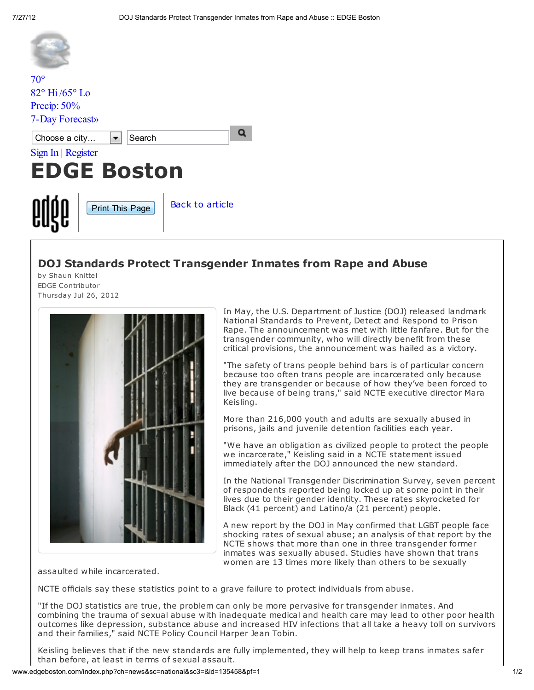| $70^{\circ}$                                  |                        |                        |
|-----------------------------------------------|------------------------|------------------------|
| $82^\circ$ Hi/65 $^\circ$ Lo                  |                        |                        |
| Precip: $50\%$                                |                        |                        |
| 7-Day Forecast»                               |                        |                        |
| Search<br>Choose a city<br>Sign In   Register |                        |                        |
|                                               |                        |                        |
| <b>EDGE Boston</b>                            |                        |                        |
|                                               | <b>Print This Page</b> | <b>Back to article</b> |

## DOJ Standards Protect Transgender Inmates from Rape and Abuse

by Shaun Knittel EDGE Contributor Thursday Jul 26, 2012



In May, the U.S. Department of Justice (DOJ) released landmark National Standards to Prevent, Detect and Respond to Prison Rape. The announcement was met with little fanfare. But for the transgender community, who will directly benefit from these critical provisions, the announcement was hailed as a victory.

"The safety of trans people behind bars is of particular concern because too often trans people are incarcerated only because they are transgender or because of how they've been forced to live because of being trans," said NCTE executive director Mara Keisling.

More than 216,000 youth and adults are sexually abused in prisons, jails and juvenile detention facilities each year.

"We have an obligation as civilized people to protect the people we incarcerate," Keisling said in a NCTE statement issued immediately after the DOJ announced the new standard.

In the National Transgender Discrimination Survey, seven percent of respondents reported being locked up at some point in their lives due to their gender identity. These rates skyrocketed for Black (41 percent) and Latino/a (21 percent) people.

A new report by the DOJ in May confirmed that LGBT people face shocking rates of sexual abuse; an analysis of that report by the NCTE shows that more than one in three transgender former inmates was sexually abused. Studies have shown that trans women are 13 times more likely than others to be sexually

assaulted while incarcerated.

NCTE officials say these statistics point to a grave failure to protect individuals from abuse.

"If the DOJ statistics are true, the problem can only be more pervasive for transgender inmates. And combining the trauma of sexual abuse with inadequate medical and health care may lead to other poor health outcomes like depression, substance abuse and increased HIV infections that all take a heavy toll on survivors and their families," said NCTE Policy Council Harper Jean Tobin.

Keisling believes that if the new standards are fully implemented, they will help to keep trans inmates safer than before, at least in terms of sexual assault.

www.edgeboston.com/index.php?ch=news&sc=national&sc3=&id=135458&pf=1 1/2